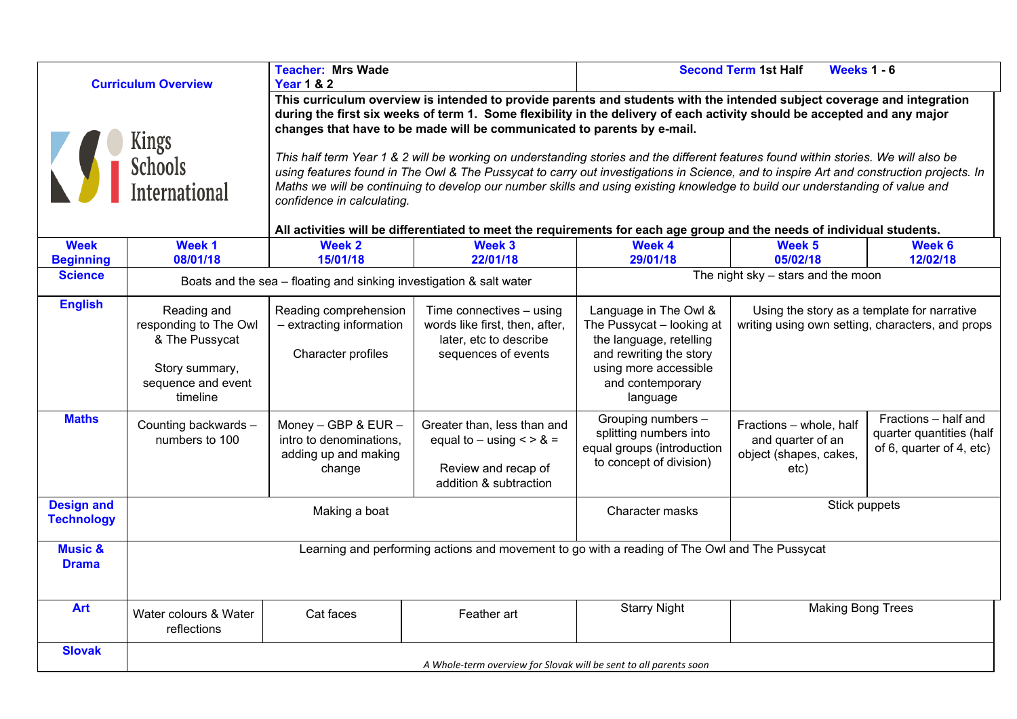|                                        |                                                                                                                                                                                                                                                                                                                                                                                                                                                                                                                                                                                                                                                                                                                                                                                                                                                                                                                                                                                                            | <b>Teacher: Mrs Wade</b>                                                                                                    |                                                                                                                                                                              | <b>Second Term 1st Half</b><br><b>Weeks 1 - 6</b>                                                                                                                                                                                               |                                                                                                                                                 |                                                                              |  |
|----------------------------------------|------------------------------------------------------------------------------------------------------------------------------------------------------------------------------------------------------------------------------------------------------------------------------------------------------------------------------------------------------------------------------------------------------------------------------------------------------------------------------------------------------------------------------------------------------------------------------------------------------------------------------------------------------------------------------------------------------------------------------------------------------------------------------------------------------------------------------------------------------------------------------------------------------------------------------------------------------------------------------------------------------------|-----------------------------------------------------------------------------------------------------------------------------|------------------------------------------------------------------------------------------------------------------------------------------------------------------------------|-------------------------------------------------------------------------------------------------------------------------------------------------------------------------------------------------------------------------------------------------|-------------------------------------------------------------------------------------------------------------------------------------------------|------------------------------------------------------------------------------|--|
|                                        | <b>Curriculum Overview</b><br><b>Year 1 &amp; 2</b><br>This curriculum overview is intended to provide parents and students with the intended subject coverage and integration<br>during the first six weeks of term 1. Some flexibility in the delivery of each activity should be accepted and any major<br>changes that have to be made will be communicated to parents by e-mail.<br>Kings Schools<br>This half term Year 1 & 2 will be working on understanding stories and the different features found within stories. We will also be<br>using features found in The Owl & The Pussycat to carry out investigations in Science, and to inspire Art and construction projects. In<br><b>International</b><br>Maths we will be continuing to develop our number skills and using existing knowledge to build our understanding of value and<br>confidence in calculating.<br>All activities will be differentiated to meet the requirements for each age group and the needs of individual students. |                                                                                                                             |                                                                                                                                                                              |                                                                                                                                                                                                                                                 |                                                                                                                                                 |                                                                              |  |
| <b>Week</b><br><b>Beginning</b>        | Week 1<br>08/01/18                                                                                                                                                                                                                                                                                                                                                                                                                                                                                                                                                                                                                                                                                                                                                                                                                                                                                                                                                                                         | Week 2<br>15/01/18                                                                                                          | Week 3<br>22/01/18                                                                                                                                                           | Week 4<br>29/01/18                                                                                                                                                                                                                              | Week 5<br>05/02/18                                                                                                                              | Week 6<br>12/02/18                                                           |  |
| <b>Science</b>                         |                                                                                                                                                                                                                                                                                                                                                                                                                                                                                                                                                                                                                                                                                                                                                                                                                                                                                                                                                                                                            | Boats and the sea - floating and sinking investigation & salt water                                                         |                                                                                                                                                                              |                                                                                                                                                                                                                                                 | The night $sky - stars$ and the moon                                                                                                            |                                                                              |  |
| <b>English</b><br><b>Maths</b>         | Reading and<br>responding to The Owl<br>& The Pussycat<br>Story summary,<br>sequence and event<br>timeline<br>Counting backwards -<br>numbers to 100                                                                                                                                                                                                                                                                                                                                                                                                                                                                                                                                                                                                                                                                                                                                                                                                                                                       | Reading comprehension<br>- extracting information<br>Character profiles<br>Money - GBP & EUR $-$<br>intro to denominations, | Time connectives - using<br>words like first, then, after,<br>later, etc to describe<br>sequences of events<br>Greater than, less than and<br>equal to $-$ using $\lt$ > & = | Language in The Owl &<br>The Pussycat - looking at<br>the language, retelling<br>and rewriting the story<br>using more accessible<br>and contemporary<br>language<br>Grouping numbers -<br>splitting numbers into<br>equal groups (introduction | Using the story as a template for narrative<br>writing using own setting, characters, and props<br>Fractions - whole, half<br>and quarter of an | Fractions - half and<br>quarter quantities (half<br>of 6, quarter of 4, etc) |  |
|                                        |                                                                                                                                                                                                                                                                                                                                                                                                                                                                                                                                                                                                                                                                                                                                                                                                                                                                                                                                                                                                            | adding up and making<br>change                                                                                              | Review and recap of<br>addition & subtraction                                                                                                                                | to concept of division)                                                                                                                                                                                                                         | object (shapes, cakes,<br>etc)                                                                                                                  |                                                                              |  |
| <b>Design and</b><br><b>Technology</b> | Making a boat                                                                                                                                                                                                                                                                                                                                                                                                                                                                                                                                                                                                                                                                                                                                                                                                                                                                                                                                                                                              |                                                                                                                             |                                                                                                                                                                              | Character masks                                                                                                                                                                                                                                 | Stick puppets                                                                                                                                   |                                                                              |  |
| <b>Music &amp;</b><br><b>Drama</b>     | Learning and performing actions and movement to go with a reading of The Owl and The Pussycat                                                                                                                                                                                                                                                                                                                                                                                                                                                                                                                                                                                                                                                                                                                                                                                                                                                                                                              |                                                                                                                             |                                                                                                                                                                              |                                                                                                                                                                                                                                                 |                                                                                                                                                 |                                                                              |  |
| <b>Art</b>                             | Water colours & Water<br>reflections                                                                                                                                                                                                                                                                                                                                                                                                                                                                                                                                                                                                                                                                                                                                                                                                                                                                                                                                                                       | Cat faces                                                                                                                   | Feather art                                                                                                                                                                  | <b>Starry Night</b>                                                                                                                                                                                                                             | <b>Making Bong Trees</b>                                                                                                                        |                                                                              |  |
| <b>Slovak</b>                          | A Whole-term overview for Slovak will be sent to all parents soon                                                                                                                                                                                                                                                                                                                                                                                                                                                                                                                                                                                                                                                                                                                                                                                                                                                                                                                                          |                                                                                                                             |                                                                                                                                                                              |                                                                                                                                                                                                                                                 |                                                                                                                                                 |                                                                              |  |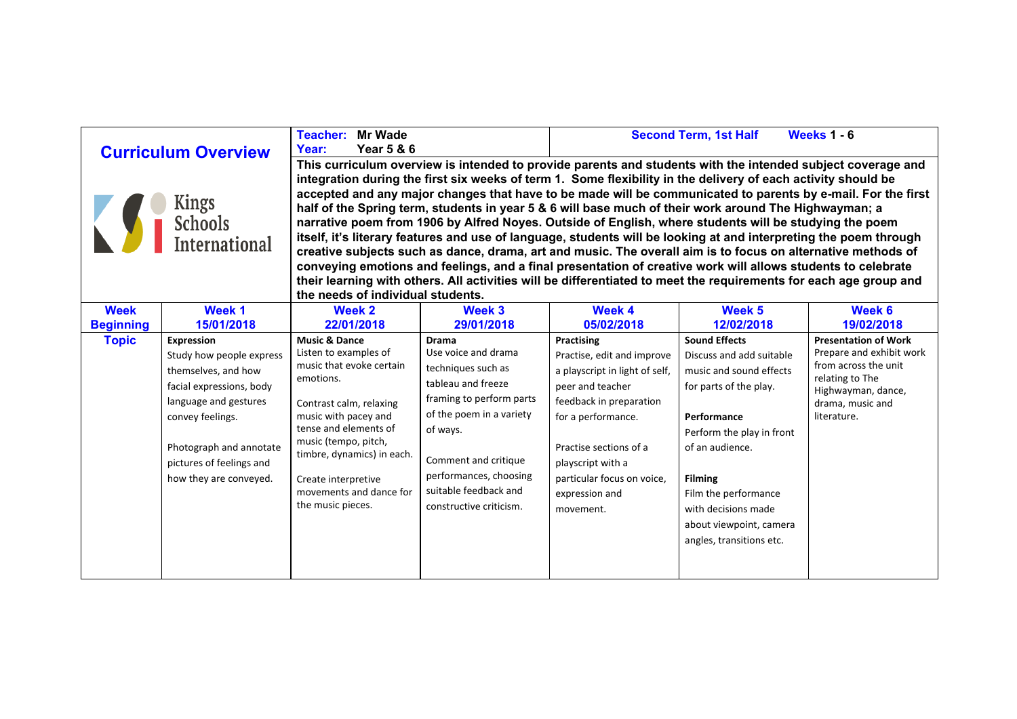| <b>Curriculum Overview</b><br><b>Kings<br/>Schools</b><br><b>International</b> |                          | <b>Teacher: Mr Wade</b>                                                                                                                                                                                                                                                                                                                                                                                                                                                                                                                                                                                                                                                              |                          |                                | <b>Second Term, 1st Half</b> | <b>Weeks 1 - 6</b>                               |  |  |                  |            |                                                                                                                   |                                     |            |                      |                             |  |
|--------------------------------------------------------------------------------|--------------------------|--------------------------------------------------------------------------------------------------------------------------------------------------------------------------------------------------------------------------------------------------------------------------------------------------------------------------------------------------------------------------------------------------------------------------------------------------------------------------------------------------------------------------------------------------------------------------------------------------------------------------------------------------------------------------------------|--------------------------|--------------------------------|------------------------------|--------------------------------------------------|--|--|------------------|------------|-------------------------------------------------------------------------------------------------------------------|-------------------------------------|------------|----------------------|-----------------------------|--|
|                                                                                |                          | <b>Year 5 &amp; 6</b><br>Year:                                                                                                                                                                                                                                                                                                                                                                                                                                                                                                                                                                                                                                                       |                          |                                |                              |                                                  |  |  |                  |            |                                                                                                                   |                                     |            |                      |                             |  |
|                                                                                |                          | This curriculum overview is intended to provide parents and students with the intended subject coverage and                                                                                                                                                                                                                                                                                                                                                                                                                                                                                                                                                                          |                          |                                |                              |                                                  |  |  |                  |            |                                                                                                                   |                                     |            |                      |                             |  |
|                                                                                |                          | integration during the first six weeks of term 1. Some flexibility in the delivery of each activity should be                                                                                                                                                                                                                                                                                                                                                                                                                                                                                                                                                                        |                          |                                |                              |                                                  |  |  |                  |            |                                                                                                                   |                                     |            |                      |                             |  |
|                                                                                |                          | accepted and any major changes that have to be made will be communicated to parents by e-mail. For the first<br>half of the Spring term, students in year 5 & 6 will base much of their work around The Highwayman; a<br>narrative poem from 1906 by Alfred Noyes. Outside of English, where students will be studying the poem<br>itself, it's literary features and use of language, students will be looking at and interpreting the poem through<br>creative subjects such as dance, drama, art and music. The overall aim is to focus on alternative methods of<br>conveying emotions and feelings, and a final presentation of creative work will allows students to celebrate |                          |                                |                              |                                                  |  |  |                  |            |                                                                                                                   |                                     |            |                      |                             |  |
|                                                                                |                          |                                                                                                                                                                                                                                                                                                                                                                                                                                                                                                                                                                                                                                                                                      |                          |                                |                              |                                                  |  |  |                  |            | their learning with others. All activities will be differentiated to meet the requirements for each age group and |                                     |            |                      |                             |  |
|                                                                                |                          |                                                                                                                                                                                                                                                                                                                                                                                                                                                                                                                                                                                                                                                                                      |                          |                                |                              |                                                  |  |  |                  |            | the needs of individual students.                                                                                 |                                     |            |                      |                             |  |
|                                                                                |                          |                                                                                                                                                                                                                                                                                                                                                                                                                                                                                                                                                                                                                                                                                      |                          |                                |                              |                                                  |  |  | <b>Week</b>      | Week 1     | <b>Week 2</b>                                                                                                     | Week 3                              | Week 4     | Week 5               | Week 6                      |  |
|                                                                                |                          |                                                                                                                                                                                                                                                                                                                                                                                                                                                                                                                                                                                                                                                                                      |                          |                                |                              |                                                  |  |  | <b>Beginning</b> | 15/01/2018 | 22/01/2018                                                                                                        | 29/01/2018                          | 05/02/2018 | 12/02/2018           | 19/02/2018                  |  |
|                                                                                |                          |                                                                                                                                                                                                                                                                                                                                                                                                                                                                                                                                                                                                                                                                                      |                          |                                |                              |                                                  |  |  | <b>Topic</b>     | Expression | <b>Music &amp; Dance</b>                                                                                          | <b>Drama</b><br>Use voice and drama | Practising | <b>Sound Effects</b> | <b>Presentation of Work</b> |  |
|                                                                                | Study how people express | Listen to examples of<br>music that evoke certain                                                                                                                                                                                                                                                                                                                                                                                                                                                                                                                                                                                                                                    |                          | Practise, edit and improve     | Discuss and add suitable     | Prepare and exhibit work<br>from across the unit |  |  |                  |            |                                                                                                                   |                                     |            |                      |                             |  |
|                                                                                | themselves, and how      | emotions.                                                                                                                                                                                                                                                                                                                                                                                                                                                                                                                                                                                                                                                                            | techniques such as       | a playscript in light of self, | music and sound effects      | relating to The                                  |  |  |                  |            |                                                                                                                   |                                     |            |                      |                             |  |
|                                                                                | facial expressions, body |                                                                                                                                                                                                                                                                                                                                                                                                                                                                                                                                                                                                                                                                                      | tableau and freeze       | peer and teacher               | for parts of the play.       | Highwayman, dance,                               |  |  |                  |            |                                                                                                                   |                                     |            |                      |                             |  |
|                                                                                | language and gestures    | Contrast calm, relaxing                                                                                                                                                                                                                                                                                                                                                                                                                                                                                                                                                                                                                                                              | framing to perform parts | feedback in preparation        |                              | drama, music and                                 |  |  |                  |            |                                                                                                                   |                                     |            |                      |                             |  |
|                                                                                | convey feelings.         | music with pacey and                                                                                                                                                                                                                                                                                                                                                                                                                                                                                                                                                                                                                                                                 | of the poem in a variety | for a performance.             | Performance                  | literature.                                      |  |  |                  |            |                                                                                                                   |                                     |            |                      |                             |  |
|                                                                                |                          | tense and elements of                                                                                                                                                                                                                                                                                                                                                                                                                                                                                                                                                                                                                                                                | of ways.                 |                                | Perform the play in front    |                                                  |  |  |                  |            |                                                                                                                   |                                     |            |                      |                             |  |
|                                                                                | Photograph and annotate  | music (tempo, pitch,<br>timbre, dynamics) in each.                                                                                                                                                                                                                                                                                                                                                                                                                                                                                                                                                                                                                                   |                          | Practise sections of a         | of an audience.              |                                                  |  |  |                  |            |                                                                                                                   |                                     |            |                      |                             |  |
|                                                                                | pictures of feelings and |                                                                                                                                                                                                                                                                                                                                                                                                                                                                                                                                                                                                                                                                                      | Comment and critique     | playscript with a              |                              |                                                  |  |  |                  |            |                                                                                                                   |                                     |            |                      |                             |  |
|                                                                                | how they are conveyed.   | Create interpretive                                                                                                                                                                                                                                                                                                                                                                                                                                                                                                                                                                                                                                                                  | performances, choosing   | particular focus on voice,     | <b>Filming</b>               |                                                  |  |  |                  |            |                                                                                                                   |                                     |            |                      |                             |  |
|                                                                                |                          | movements and dance for                                                                                                                                                                                                                                                                                                                                                                                                                                                                                                                                                                                                                                                              | suitable feedback and    | expression and                 | Film the performance         |                                                  |  |  |                  |            |                                                                                                                   |                                     |            |                      |                             |  |
|                                                                                |                          | the music pieces.                                                                                                                                                                                                                                                                                                                                                                                                                                                                                                                                                                                                                                                                    | constructive criticism.  | movement.                      | with decisions made          |                                                  |  |  |                  |            |                                                                                                                   |                                     |            |                      |                             |  |
|                                                                                |                          |                                                                                                                                                                                                                                                                                                                                                                                                                                                                                                                                                                                                                                                                                      |                          |                                | about viewpoint, camera      |                                                  |  |  |                  |            |                                                                                                                   |                                     |            |                      |                             |  |
|                                                                                |                          |                                                                                                                                                                                                                                                                                                                                                                                                                                                                                                                                                                                                                                                                                      |                          |                                | angles, transitions etc.     |                                                  |  |  |                  |            |                                                                                                                   |                                     |            |                      |                             |  |
|                                                                                |                          |                                                                                                                                                                                                                                                                                                                                                                                                                                                                                                                                                                                                                                                                                      |                          |                                |                              |                                                  |  |  |                  |            |                                                                                                                   |                                     |            |                      |                             |  |
|                                                                                |                          |                                                                                                                                                                                                                                                                                                                                                                                                                                                                                                                                                                                                                                                                                      |                          |                                |                              |                                                  |  |  |                  |            |                                                                                                                   |                                     |            |                      |                             |  |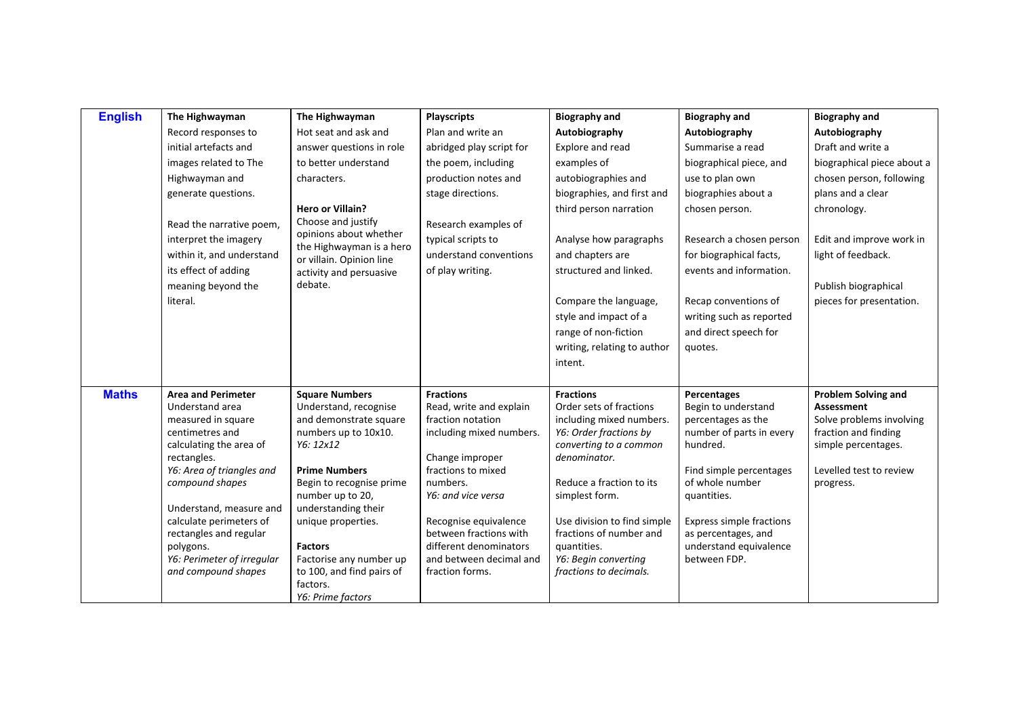| <b>English</b> | The Highwayman                           | The Highwayman                                       | <b>Playscripts</b>       | <b>Biography and</b>                   | <b>Biography and</b>     | <b>Biography and</b>       |
|----------------|------------------------------------------|------------------------------------------------------|--------------------------|----------------------------------------|--------------------------|----------------------------|
|                | Record responses to                      | Hot seat and ask and                                 | Plan and write an        | Autobiography                          | Autobiography            | Autobiography              |
|                | initial artefacts and                    | answer questions in role                             | abridged play script for | Explore and read                       | Summarise a read         | Draft and write a          |
|                | images related to The                    | to better understand                                 | the poem, including      | examples of                            | biographical piece, and  | biographical piece about a |
|                | Highwayman and                           | characters.                                          | production notes and     | autobiographies and                    | use to plan own          | chosen person, following   |
|                | generate questions.                      |                                                      | stage directions.        | biographies, and first and             | biographies about a      | plans and a clear          |
|                |                                          | <b>Hero or Villain?</b>                              |                          | third person narration                 | chosen person.           | chronology.                |
|                | Read the narrative poem,                 | Choose and justify                                   | Research examples of     |                                        |                          |                            |
|                | interpret the imagery                    | opinions about whether                               | typical scripts to       | Analyse how paragraphs                 | Research a chosen person | Edit and improve work in   |
|                | within it, and understand                | the Highwayman is a hero<br>or villain. Opinion line | understand conventions   | and chapters are                       | for biographical facts,  | light of feedback.         |
|                | its effect of adding                     | activity and persuasive                              | of play writing.         | structured and linked.                 | events and information.  |                            |
|                | meaning beyond the                       | debate.                                              |                          |                                        |                          | Publish biographical       |
|                | literal.                                 |                                                      |                          | Compare the language,                  | Recap conventions of     | pieces for presentation.   |
|                |                                          |                                                      |                          | style and impact of a                  | writing such as reported |                            |
|                |                                          |                                                      |                          | range of non-fiction                   | and direct speech for    |                            |
|                |                                          |                                                      |                          | writing, relating to author            | quotes.                  |                            |
|                |                                          |                                                      |                          | intent.                                |                          |                            |
|                |                                          |                                                      |                          |                                        |                          |                            |
| <b>Maths</b>   | <b>Area and Perimeter</b>                | <b>Square Numbers</b>                                | <b>Fractions</b>         | <b>Fractions</b>                       | Percentages              | <b>Problem Solving and</b> |
|                | Understand area                          | Understand, recognise                                | Read, write and explain  | Order sets of fractions                | Begin to understand      | <b>Assessment</b>          |
|                | measured in square                       | and demonstrate square                               | fraction notation        | including mixed numbers.               | percentages as the       | Solve problems involving   |
|                | centimetres and                          | numbers up to 10x10.                                 | including mixed numbers. | Y6: Order fractions by                 | number of parts in every | fraction and finding       |
|                | calculating the area of                  | Y6: 12x12                                            | Change improper          | converting to a common<br>denominator. | hundred.                 | simple percentages.        |
|                | rectangles.<br>Y6: Area of triangles and | <b>Prime Numbers</b>                                 | fractions to mixed       |                                        | Find simple percentages  | Levelled test to review    |
|                | compound shapes                          | Begin to recognise prime                             | numbers.                 | Reduce a fraction to its               | of whole number          | progress.                  |
|                |                                          | number up to 20,                                     | Y6: and vice versa       | simplest form.                         | quantities.              |                            |
|                | Understand, measure and                  | understanding their                                  |                          |                                        |                          |                            |
|                | calculate perimeters of                  | unique properties.                                   | Recognise equivalence    | Use division to find simple            | Express simple fractions |                            |
|                | rectangles and regular                   |                                                      | between fractions with   | fractions of number and                | as percentages, and      |                            |
|                | polygons.                                | <b>Factors</b>                                       | different denominators   | quantities.                            | understand equivalence   |                            |
|                | Y6: Perimeter of irregular               | Factorise any number up                              | and between decimal and  | Y6: Begin converting                   | between FDP.             |                            |
|                | and compound shapes                      | to 100, and find pairs of<br>factors.                | fraction forms.          | fractions to decimals.                 |                          |                            |
|                |                                          | Y6: Prime factors                                    |                          |                                        |                          |                            |